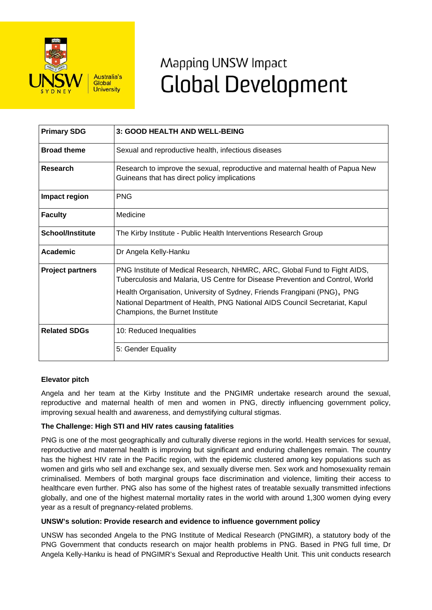

# Mapping UNSW Impact **Global Development**

| <b>Primary SDG</b>      | 3: GOOD HEALTH AND WELL-BEING                                                                                                                                                                                                                                                                                                                            |
|-------------------------|----------------------------------------------------------------------------------------------------------------------------------------------------------------------------------------------------------------------------------------------------------------------------------------------------------------------------------------------------------|
| <b>Broad theme</b>      | Sexual and reproductive health, infectious diseases                                                                                                                                                                                                                                                                                                      |
| Research                | Research to improve the sexual, reproductive and maternal health of Papua New<br>Guineans that has direct policy implications                                                                                                                                                                                                                            |
| Impact region           | <b>PNG</b>                                                                                                                                                                                                                                                                                                                                               |
| <b>Faculty</b>          | Medicine                                                                                                                                                                                                                                                                                                                                                 |
| <b>School/Institute</b> | The Kirby Institute - Public Health Interventions Research Group                                                                                                                                                                                                                                                                                         |
| Academic                | Dr Angela Kelly-Hanku                                                                                                                                                                                                                                                                                                                                    |
| <b>Project partners</b> | PNG Institute of Medical Research, NHMRC, ARC, Global Fund to Fight AIDS,<br>Tuberculosis and Malaria, US Centre for Disease Prevention and Control, World<br>Health Organisation, University of Sydney, Friends Frangipani (PNG), PNG<br>National Department of Health, PNG National AIDS Council Secretariat, Kapul<br>Champions, the Burnet Institute |
| <b>Related SDGs</b>     | 10: Reduced Inequalities                                                                                                                                                                                                                                                                                                                                 |
|                         | 5: Gender Equality                                                                                                                                                                                                                                                                                                                                       |

## **Elevator pitch**

Angela and her team at the Kirby Institute and the PNGIMR undertake research around the sexual, reproductive and maternal health of men and women in PNG, directly influencing government policy, improving sexual health and awareness, and demystifying cultural stigmas.

### **The Challenge: High STI and HIV rates causing fatalities**

PNG is one of the most geographically and culturally diverse regions in the world. Health services for sexual, reproductive and maternal health is improving but significant and enduring challenges remain. The country has the highest HIV rate in the Pacific region, with the epidemic clustered among key populations such as women and girls who sell and exchange sex, and sexually diverse men. Sex work and homosexuality remain criminalised. Members of both marginal groups face discrimination and violence, limiting their access to healthcare even further. PNG also has some of the highest rates of treatable sexually transmitted infections globally, and one of the highest maternal mortality rates in the world with around 1,300 women dying every year as a result of pregnancy-related problems.

### **UNSW's solution: Provide research and evidence to influence government policy**

UNSW has seconded Angela to the PNG Institute of Medical Research (PNGIMR), a statutory body of the PNG Government that conducts research on major health problems in PNG. Based in PNG full time, Dr Angela Kelly-Hanku is head of PNGIMR's Sexual and Reproductive Health Unit. This unit conducts research